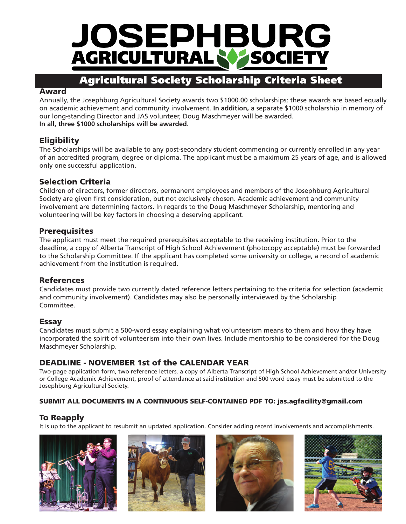

### **Agricultural Society Scholarship Criteria Sheet**

#### **Award**

Annually, the Josephburg Agricultural Society awards two \$1000.00 scholarships; these awards are based equally on academic achievement and community involvement. **In addition,** a separate \$1000 scholarship in memory of our long-standing Director and JAS volunteer, Doug Maschmeyer will be awarded. **In all, three \$1000 scholarships will be awarded.**

#### **Eligibility**

The Scholarships will be available to any post-secondary student commencing or currently enrolled in any year of an accredited program, degree or diploma. The applicant must be a maximum 25 years of age, and is allowed only one successful application.

#### **Selection Criteria**

Children of directors, former directors, permanent employees and members of the Josephburg Agricultural Society are given first consideration, but not exclusively chosen. Academic achievement and community involvement are determining factors. In regards to the Doug Maschmeyer Scholarship, mentoring and volunteering will be key factors in choosing a deserving applicant.

#### **Prerequisites**

The applicant must meet the required prerequisites acceptable to the receiving institution. Prior to the deadline, a copy of Alberta Transcript of High School Achievement (photocopy acceptable) must be forwarded to the Scholarship Committee. If the applicant has completed some university or college, a record of academic achievement from the institution is required.

#### **References**

Candidates must provide two currently dated reference letters pertaining to the criteria for selection (academic and community involvement). Candidates may also be personally interviewed by the Scholarship Committee.

#### **Essay**

Candidates must submit a 500-word essay explaining what volunteerism means to them and how they have incorporated the spirit of volunteerism into their own lives. Include mentorship to be considered for the Doug Maschmeyer Scholarship.

#### **DEADLINE - NOVEMBER 1st of the CALENDAR YEAR**

Two-page application form, two reference letters, a copy of Alberta Transcript of High School Achievement and/or University or College Academic Achievement, proof of attendance at said institution and 500 word essay must be submitted to the Josephburg Agricultural Society.

#### **SUBMIT ALL DOCUMENTS IN A CONTINUOUS SELF-CONTAINED PDF TO: jas.agfacility@gmail.com**

#### **To Reapply**

It is up to the applicant to resubmit an updated application. Consider adding recent involvements and accomplishments.

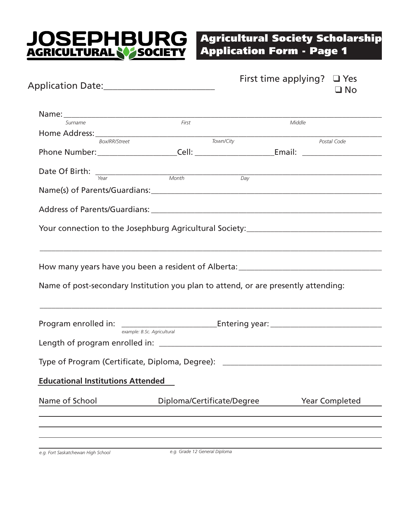# **JOSEPHBURG**<br>AGRICULTURAL NASOCIETY

## **Agricultural Society Scholarship Application Form - Page 1**

| Application Date:____________________________                                      |                             | First time applying? $\Box$ Yes<br>$\square$ No |
|------------------------------------------------------------------------------------|-----------------------------|-------------------------------------------------|
|                                                                                    |                             |                                                 |
| Surname                                                                            | First                       | Middle                                          |
| Home Address: <u>Comprehense</u> Town/City                                         |                             |                                                 |
|                                                                                    |                             | Postal Code                                     |
|                                                                                    |                             |                                                 |
|                                                                                    |                             |                                                 |
| Date Of Birth: $\frac{1}{\text{Year}}$ Month Day                                   |                             |                                                 |
|                                                                                    |                             |                                                 |
|                                                                                    |                             |                                                 |
|                                                                                    |                             |                                                 |
|                                                                                    |                             |                                                 |
| Your connection to the Josephburg Agricultural Society:__________________________  |                             |                                                 |
|                                                                                    |                             |                                                 |
| Name of post-secondary Institution you plan to attend, or are presently attending: |                             |                                                 |
|                                                                                    |                             |                                                 |
|                                                                                    | example: B.Sc. Agricultural |                                                 |
|                                                                                    |                             |                                                 |
| Type of Program (Certificate, Diploma, Degree): ________________________________   |                             |                                                 |
|                                                                                    |                             |                                                 |
| <b>Educational Institutions Attended</b>                                           |                             |                                                 |
| Name of School                                                                     | Diploma/Certificate/Degree  | <b>Year Completed</b>                           |
|                                                                                    |                             |                                                 |
|                                                                                    |                             |                                                 |
|                                                                                    |                             |                                                 |
|                                                                                    |                             |                                                 |
|                                                                                    |                             |                                                 |

*e.g. Fort Saskatchewan High School e.g. Grade 12 General Diploma*